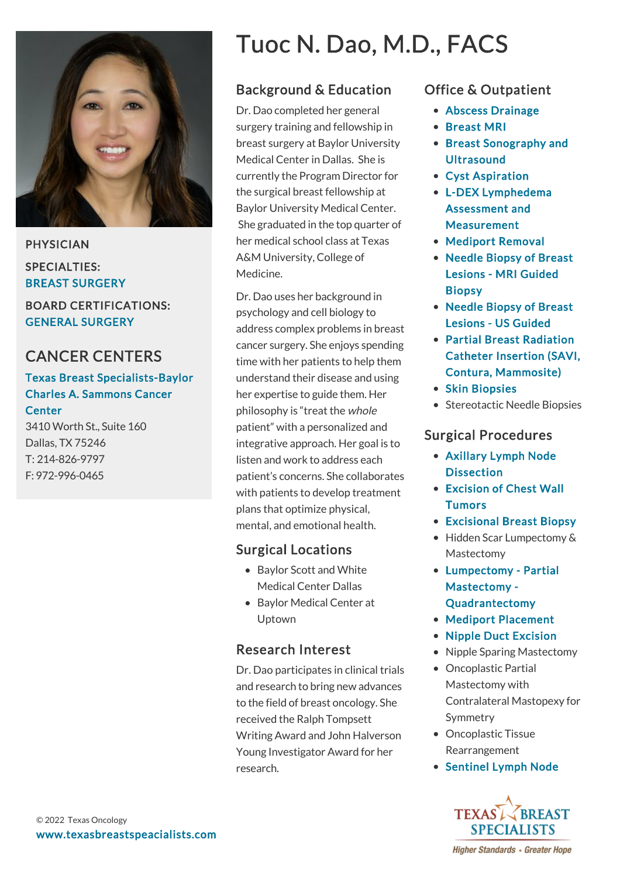

PHYSICIAN SPECIALTIES: BREAST SURGERY

BOARD CERTIFICATIONS: GENERAL SURGERY

## CANCER CENTERS

#### [Texas Breast Specialists-Baylor](https://www.texasbreastspecialists.com/locations/Dallas/Texas-Breast-Specialists-Baylor-Charles-A-Sammons) Charles A. Sammons Cancer **Center**

3410 Worth St., Suite 160 Dallas, TX 75246 T: [214-826-9797](tel:214-826-9797) F: 972-996-0465

# Tuoc N. Dao, M.D., FACS

## Background & Education

Dr. Dao completed her general surgery training and fellowship in breast surgery at Baylor University Medical Center in Dallas. She is currently the Program Director for the surgical breast fellowship at Baylor University Medical Center. She graduated in the top quarter of her medical school class at Texas A&M University, College of Medicine.

Dr. Dao uses her background in psychology and cell biology to address complex problems in breast cancer surgery. She enjoys spending time with her patients to help them understand their disease and using her expertise to guide them. Her philosophy is "treat the whole patient" with a personalized and integrative approach. Her goal is to listen and work to address each patient's concerns. She collaborates with patients to develop treatment plans that optimize physical, mental, and emotional health.

#### Surgical Locations

- Baylor Scott and White Medical Center Dallas
- Baylor Medical Center at Uptown

## Research Interest

Dr. Dao participates in clinical trials and research to bring new advances to the field of breast oncology. She received the Ralph Tompsett Writing Award and John Halverson Young Investigator Award for her research.

### Office & Outpatient

- [Abscess Drainage](https://www.texasbreastspecialists.com/procedures-services/office-outpatient-procedures-services/abscess-drainage)
- [Breast MRI](https://www.texasbreastspecialists.com/procedures-services/office-outpatient-procedures-services/breast-mri)
- [Breast Sonography and](https://www.texasbreastspecialists.com/procedures-services/office-outpatient-procedures-services/breast-sonography-ultrasound) **Ultrasound**
- [Cyst Aspiration](https://www.texasbreastspecialists.com/procedures-services/office-outpatient-procedures-services/cyst-aspiration)
- [L-DEX Lymphedema](https://www.texasbreastspecialists.com/procedures-services/office-outpatient-procedures-services/l-dex-lymphedema-assessment-measurement) Assessment and Measurement
- [Mediport Removal](https://www.texasbreastspecialists.com/procedures-services/office-outpatient-procedures-services/mediport-removal)
- [Needle Biopsy of Breast](https://www.texasbreastspecialists.com/procedures-services/office-outpatient-procedures-services/needle-biopsy-of-breast-lesions/mri-guided-biopsy) Lesions - MRI Guided Biopsy
- [Needle Biopsy of Breast](https://www.texasbreastspecialists.com/procedures-services/office-outpatient-procedures-services/needle-biopsy-of-breast-lesions/us-guided) Lesions - US Guided
- Partial Breast Radiation [Catheter Insertion \(SAVI,](https://www.texasbreastspecialists.com/procedures-services/office-outpatient-procedures-services/partial-breast-radiation-catheter-insertion-(savi,-contura,-mammosite)) Contura, Mammosite)
- [Skin Biopsies](https://www.texasbreastspecialists.com/procedures-services/office-outpatient-procedures-services/skin-biopsies)
- Stereotactic Needle Biopsies

#### Surgical Procedures

- [Axillary Lymph Node](https://www.texasbreastspecialists.com/procedures-services/surgical-procedures/axillary-dissection) **Dissection**
- [Excision of Chest Wall](https://www.texasbreastspecialists.com/procedures-services/surgical-procedures/excision-of-chest-wall-tumors) **Tumors**
- [Excisional Breast Biopsy](https://www.texasbreastspecialists.com/procedures-services/surgical-procedures/excisional-breast-biopsy)
- Hidden Scar Lumpectomy & Mastectomy
- [Lumpectomy Partial](https://www.texasbreastspecialists.com/procedures-services/surgical-procedures/lumpectomy-partial-mastectomy-quadrantectomy) Mastectomy - Quadrantectomy
- [Mediport Placement](https://www.texasbreastspecialists.com/procedures-services/surgical-procedures/mediport-placement)
- [Nipple Duct Excision](https://www.texasbreastspecialists.com/procedures-services/surgical-procedures/nipple-duct-excision)
- Nipple Sparing Mastectomy
- Oncoplastic Partial Mastectomy with Contralateral Mastopexy for Symmetry
- Oncoplastic Tissue Rearrangement
- [Sentinel Lymph Node](https://www.texasbreastspecialists.com/procedures-services/surgical-procedures/sentinel-lymph-node-biopsy)



**Higher Standards • Greater Hope**